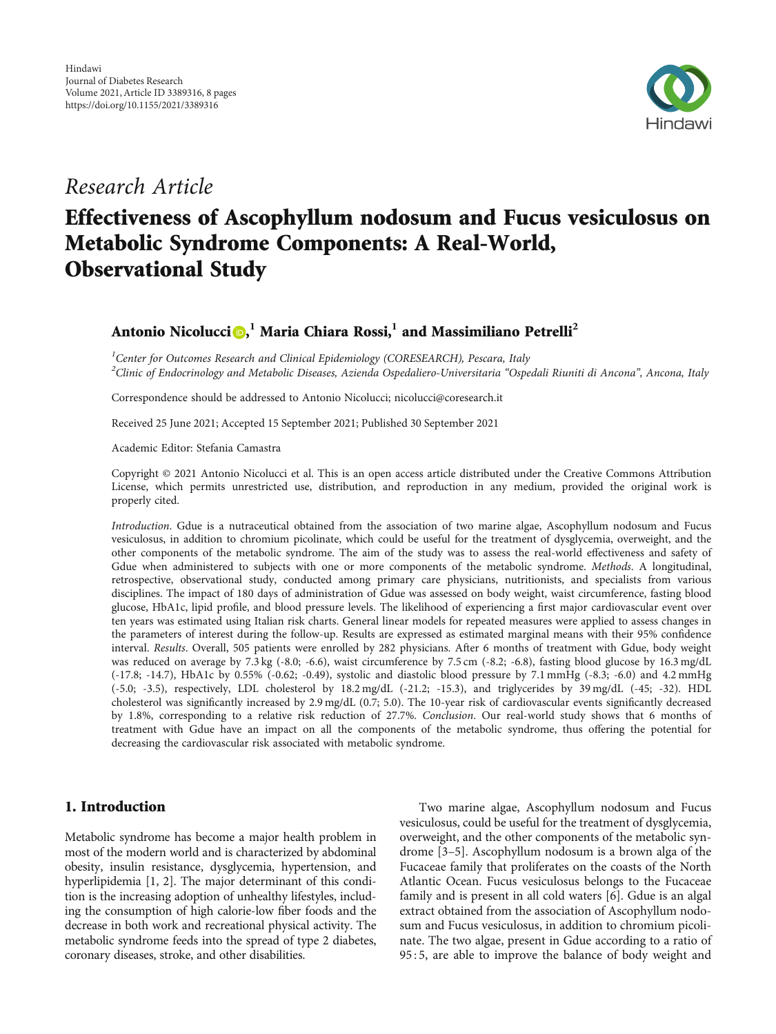

## Research Article

# Effectiveness of Ascophyllum nodosum and Fucus vesiculosus on Metabolic Syndrome Components: A Real-World, Observational Study

### Antonio Nicolucci $\textbf{0,}^1$  Maria Chiara Rossi, $^1$  and Massimiliano Petrelli $^2$

<sup>1</sup>Center for Outcomes Research and Clinical Epidemiology (CORESEARCH), Pescara, Italy  $^2$ Clinic of Endocrinology and Metabolic Diseases, Azienda Ospedaliero-Universitaria "Ospedali Riuniti di Ancona", Ancona, Italy

Correspondence should be addressed to Antonio Nicolucci; nicolucci@coresearch.it

Received 25 June 2021; Accepted 15 September 2021; Published 30 September 2021

Academic Editor: Stefania Camastra

Copyright © 2021 Antonio Nicolucci et al. This is an open access article distributed under the [Creative Commons Attribution](https://creativecommons.org/licenses/by/4.0/) [License,](https://creativecommons.org/licenses/by/4.0/) which permits unrestricted use, distribution, and reproduction in any medium, provided the original work is properly cited.

Introduction. Gdue is a nutraceutical obtained from the association of two marine algae, Ascophyllum nodosum and Fucus vesiculosus, in addition to chromium picolinate, which could be useful for the treatment of dysglycemia, overweight, and the other components of the metabolic syndrome. The aim of the study was to assess the real-world effectiveness and safety of Gdue when administered to subjects with one or more components of the metabolic syndrome. Methods. A longitudinal, retrospective, observational study, conducted among primary care physicians, nutritionists, and specialists from various disciplines. The impact of 180 days of administration of Gdue was assessed on body weight, waist circumference, fasting blood glucose, HbA1c, lipid profile, and blood pressure levels. The likelihood of experiencing a first major cardiovascular event over ten years was estimated using Italian risk charts. General linear models for repeated measures were applied to assess changes in the parameters of interest during the follow-up. Results are expressed as estimated marginal means with their 95% confidence interval. Results. Overall, 505 patients were enrolled by 282 physicians. After 6 months of treatment with Gdue, body weight was reduced on average by 7.3 kg (-8.0; -6.6), waist circumference by 7.5 cm (-8.2; -6.8), fasting blood glucose by 16.3 mg/dL (-17.8; -14.7), HbA1c by 0.55% (-0.62; -0.49), systolic and diastolic blood pressure by 7.1 mmHg (-8.3; -6.0) and 4.2 mmHg (-5.0; -3.5), respectively, LDL cholesterol by 18.2 mg/dL (-21.2; -15.3), and triglycerides by 39 mg/dL (-45; -32). HDL cholesterol was significantly increased by 2.9 mg/dL (0.7; 5.0). The 10-year risk of cardiovascular events significantly decreased by 1.8%, corresponding to a relative risk reduction of 27.7%. Conclusion. Our real-world study shows that 6 months of treatment with Gdue have an impact on all the components of the metabolic syndrome, thus offering the potential for decreasing the cardiovascular risk associated with metabolic syndrome.

#### 1. Introduction

Metabolic syndrome has become a major health problem in most of the modern world and is characterized by abdominal obesity, insulin resistance, dysglycemia, hypertension, and hyperlipidemia [[1, 2\]](#page-6-0). The major determinant of this condition is the increasing adoption of unhealthy lifestyles, including the consumption of high calorie-low fiber foods and the decrease in both work and recreational physical activity. The metabolic syndrome feeds into the spread of type 2 diabetes, coronary diseases, stroke, and other disabilities.

Two marine algae, Ascophyllum nodosum and Fucus vesiculosus, could be useful for the treatment of dysglycemia, overweight, and the other components of the metabolic syndrome [[3](#page-6-0)–[5](#page-6-0)]. Ascophyllum nodosum is a brown alga of the Fucaceae family that proliferates on the coasts of the North Atlantic Ocean. Fucus vesiculosus belongs to the Fucaceae family and is present in all cold waters [[6\]](#page-6-0). Gdue is an algal extract obtained from the association of Ascophyllum nodosum and Fucus vesiculosus, in addition to chromium picolinate. The two algae, present in Gdue according to a ratio of 95 : 5, are able to improve the balance of body weight and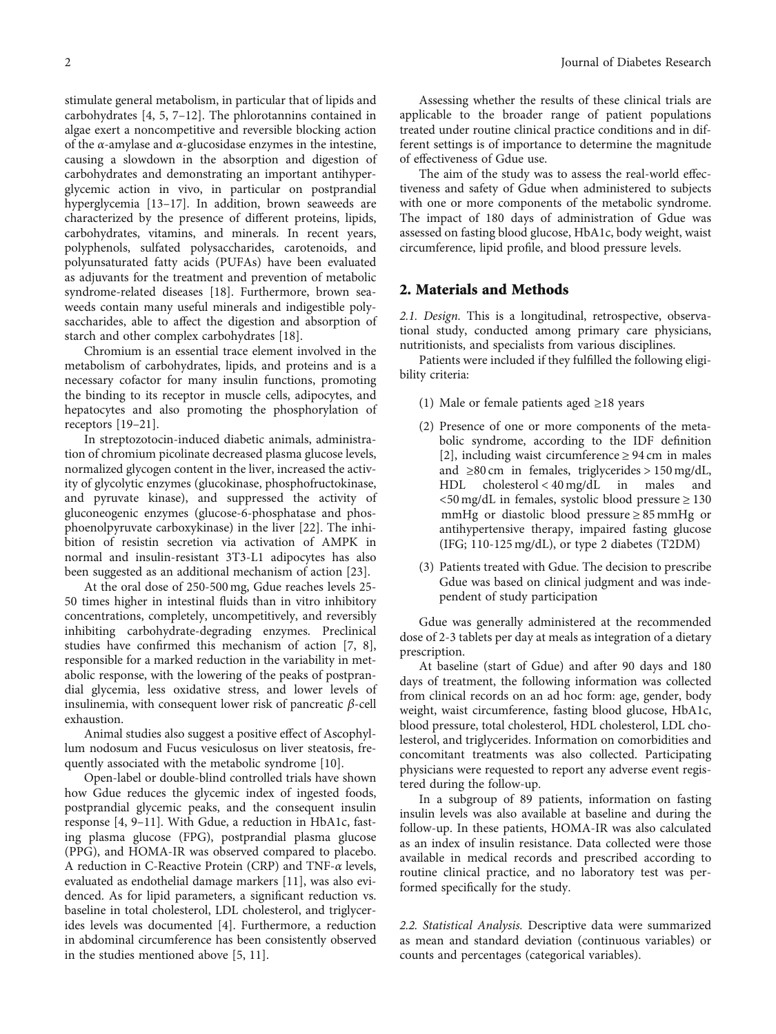stimulate general metabolism, in particular that of lipids and carbohydrates [[4, 5, 7](#page-6-0)–[12\]](#page-6-0). The phlorotannins contained in algae exert a noncompetitive and reversible blocking action of the *α*-amylase and *α*-glucosidase enzymes in the intestine, causing a slowdown in the absorption and digestion of carbohydrates and demonstrating an important antihyperglycemic action in vivo, in particular on postprandial hyperglycemia [[13](#page-6-0)–[17\]](#page-6-0). In addition, brown seaweeds are characterized by the presence of different proteins, lipids, carbohydrates, vitamins, and minerals. In recent years, polyphenols, sulfated polysaccharides, carotenoids, and polyunsaturated fatty acids (PUFAs) have been evaluated as adjuvants for the treatment and prevention of metabolic syndrome-related diseases [[18](#page-6-0)]. Furthermore, brown seaweeds contain many useful minerals and indigestible polysaccharides, able to affect the digestion and absorption of starch and other complex carbohydrates [[18](#page-6-0)].

Chromium is an essential trace element involved in the metabolism of carbohydrates, lipids, and proteins and is a necessary cofactor for many insulin functions, promoting the binding to its receptor in muscle cells, adipocytes, and hepatocytes and also promoting the phosphorylation of receptors [\[19](#page-7-0)–[21](#page-7-0)].

In streptozotocin-induced diabetic animals, administration of chromium picolinate decreased plasma glucose levels, normalized glycogen content in the liver, increased the activity of glycolytic enzymes (glucokinase, phosphofructokinase, and pyruvate kinase), and suppressed the activity of gluconeogenic enzymes (glucose-6-phosphatase and phosphoenolpyruvate carboxykinase) in the liver [\[22](#page-7-0)]. The inhibition of resistin secretion via activation of AMPK in normal and insulin-resistant 3T3-L1 adipocytes has also been suggested as an additional mechanism of action [\[23\]](#page-7-0).

At the oral dose of 250-500 mg, Gdue reaches levels 25- 50 times higher in intestinal fluids than in vitro inhibitory concentrations, completely, uncompetitively, and reversibly inhibiting carbohydrate-degrading enzymes. Preclinical studies have confirmed this mechanism of action [[7](#page-6-0), [8](#page-6-0)], responsible for a marked reduction in the variability in metabolic response, with the lowering of the peaks of postprandial glycemia, less oxidative stress, and lower levels of insulinemia, with consequent lower risk of pancreatic *β*-cell exhaustion.

Animal studies also suggest a positive effect of Ascophyllum nodosum and Fucus vesiculosus on liver steatosis, frequently associated with the metabolic syndrome [[10](#page-6-0)].

Open-label or double-blind controlled trials have shown how Gdue reduces the glycemic index of ingested foods, postprandial glycemic peaks, and the consequent insulin response [\[4](#page-6-0), [9](#page-6-0)–[11\]](#page-6-0). With Gdue, a reduction in HbA1c, fasting plasma glucose (FPG), postprandial plasma glucose (PPG), and HOMA-IR was observed compared to placebo. A reduction in C-Reactive Protein (CRP) and TNF-*α* levels, evaluated as endothelial damage markers [[11](#page-6-0)], was also evidenced. As for lipid parameters, a significant reduction vs. baseline in total cholesterol, LDL cholesterol, and triglycerides levels was documented [[4\]](#page-6-0). Furthermore, a reduction in abdominal circumference has been consistently observed in the studies mentioned above [[5, 11](#page-6-0)].

Assessing whether the results of these clinical trials are applicable to the broader range of patient populations treated under routine clinical practice conditions and in different settings is of importance to determine the magnitude of effectiveness of Gdue use.

The aim of the study was to assess the real-world effectiveness and safety of Gdue when administered to subjects with one or more components of the metabolic syndrome. The impact of 180 days of administration of Gdue was assessed on fasting blood glucose, HbA1c, body weight, waist circumference, lipid profile, and blood pressure levels.

#### 2. Materials and Methods

2.1. Design. This is a longitudinal, retrospective, observational study, conducted among primary care physicians, nutritionists, and specialists from various disciplines.

Patients were included if they fulfilled the following eligibility criteria:

- (1) Male or female patients aged  $\geq$ 18 years
- (2) Presence of one or more components of the metabolic syndrome, according to the IDF definition [\[2\]](#page-6-0), including waist circumference  $\geq$  94 cm in males and  $\geq 80$  cm in females, triglycerides > 150 mg/dL, HDL cholesterol < 40 mg/dL in males and  $\langle 50 \text{ mg/d}$ L in females, systolic blood pressure  $\geq 130$ mmHg or diastolic blood pressure ≥ 85 mmHg or antihypertensive therapy, impaired fasting glucose (IFG; 110-125 mg/dL), or type 2 diabetes (T2DM)
- (3) Patients treated with Gdue. The decision to prescribe Gdue was based on clinical judgment and was independent of study participation

Gdue was generally administered at the recommended dose of 2-3 tablets per day at meals as integration of a dietary prescription.

At baseline (start of Gdue) and after 90 days and 180 days of treatment, the following information was collected from clinical records on an ad hoc form: age, gender, body weight, waist circumference, fasting blood glucose, HbA1c, blood pressure, total cholesterol, HDL cholesterol, LDL cholesterol, and triglycerides. Information on comorbidities and concomitant treatments was also collected. Participating physicians were requested to report any adverse event registered during the follow-up.

In a subgroup of 89 patients, information on fasting insulin levels was also available at baseline and during the follow-up. In these patients, HOMA-IR was also calculated as an index of insulin resistance. Data collected were those available in medical records and prescribed according to routine clinical practice, and no laboratory test was performed specifically for the study.

2.2. Statistical Analysis. Descriptive data were summarized as mean and standard deviation (continuous variables) or counts and percentages (categorical variables).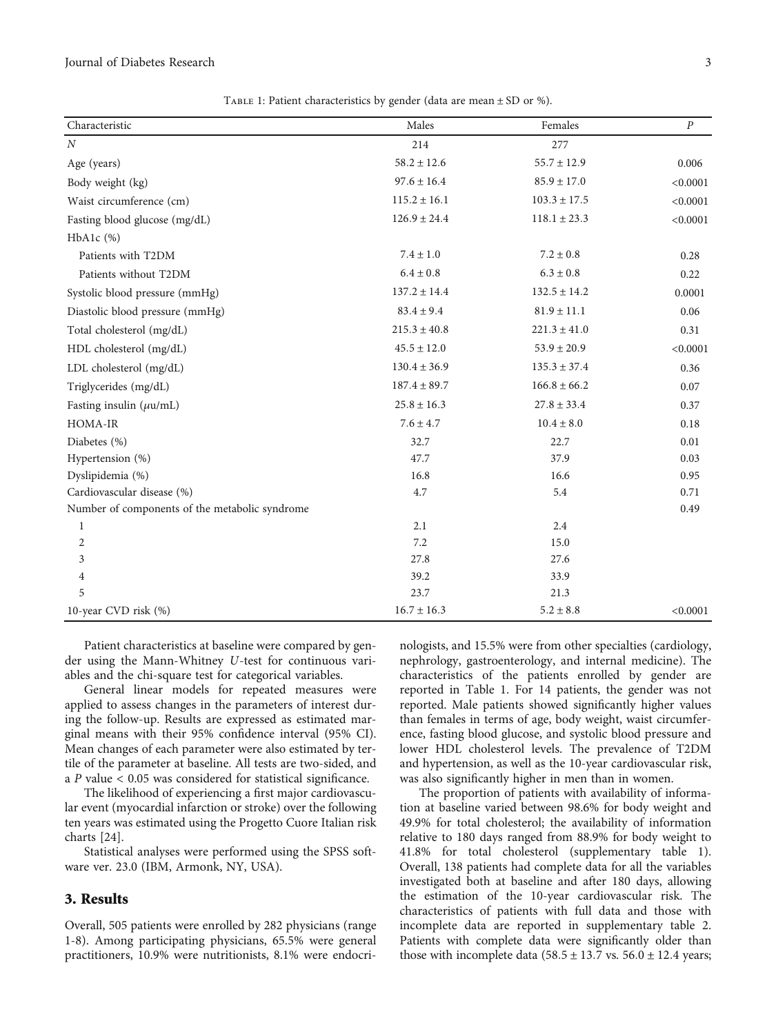#### Journal of Diabetes Research 3

TABLE 1: Patient characteristics by gender (data are mean  $\pm$  SD or %).

| Characteristic                                 | Males            | Females          | $\boldsymbol{P}$ |
|------------------------------------------------|------------------|------------------|------------------|
| $\cal N$                                       | 214              | 277              |                  |
| Age (years)                                    | $58.2 \pm 12.6$  | $55.7 \pm 12.9$  | 0.006            |
| Body weight (kg)                               | $97.6 \pm 16.4$  | $85.9 \pm 17.0$  | < 0.0001         |
| Waist circumference (cm)                       | $115.2 \pm 16.1$ | $103.3 \pm 17.5$ | < 0.0001         |
| Fasting blood glucose (mg/dL)                  | $126.9 \pm 24.4$ | $118.1 \pm 23.3$ | < 0.0001         |
| $HbA1c$ $%$                                    |                  |                  |                  |
| Patients with T2DM                             | $7.4 \pm 1.0$    | $7.2 \pm 0.8$    | 0.28             |
| Patients without T2DM                          | $6.4\pm0.8$      | $6.3 \pm 0.8$    | 0.22             |
| Systolic blood pressure (mmHg)                 | $137.2 \pm 14.4$ | $132.5 \pm 14.2$ | 0.0001           |
| Diastolic blood pressure (mmHg)                | $83.4 \pm 9.4$   | $81.9 \pm 11.1$  | 0.06             |
| Total cholesterol (mg/dL)                      | $215.3 \pm 40.8$ | $221.3 \pm 41.0$ | 0.31             |
| HDL cholesterol (mg/dL)                        | $45.5 \pm 12.0$  | $53.9 \pm 20.9$  | < 0.0001         |
| LDL cholesterol (mg/dL)                        | $130.4 \pm 36.9$ | $135.3 \pm 37.4$ | 0.36             |
| Triglycerides (mg/dL)                          | $187.4 \pm 89.7$ | $166.8 \pm 66.2$ | 0.07             |
| Fasting insulin $(\mu u/mL)$                   | $25.8 \pm 16.3$  | $27.8 \pm 33.4$  | 0.37             |
| <b>HOMA-IR</b>                                 | $7.6 \pm 4.7$    | $10.4 \pm 8.0$   | 0.18             |
| Diabetes (%)                                   | 32.7             | 22.7             | 0.01             |
| Hypertension (%)                               | 47.7             | 37.9             | 0.03             |
| Dyslipidemia (%)                               | 16.8             | 16.6             | 0.95             |
| Cardiovascular disease (%)                     | 4.7              | 5.4              | 0.71             |
| Number of components of the metabolic syndrome |                  |                  | 0.49             |
| 1                                              | 2.1              | 2.4              |                  |
| 2                                              | 7.2              | 15.0             |                  |
| 3                                              | 27.8             | 27.6             |                  |
| 4                                              | 39.2             | 33.9             |                  |
| 5                                              | 23.7             | 21.3             |                  |
| 10-year CVD risk (%)                           | $16.7 \pm 16.3$  | $5.2 \pm 8.8$    | < 0.0001         |

Patient characteristics at baseline were compared by gender using the Mann-Whitney *U*-test for continuous variables and the chi-square test for categorical variables.

General linear models for repeated measures were applied to assess changes in the parameters of interest during the follow-up. Results are expressed as estimated marginal means with their 95% confidence interval (95% CI). Mean changes of each parameter were also estimated by tertile of the parameter at baseline. All tests are two-sided, and a *P* value < 0.05 was considered for statistical significance.

The likelihood of experiencing a first major cardiovascular event (myocardial infarction or stroke) over the following ten years was estimated using the Progetto Cuore Italian risk charts [[24](#page-7-0)].

Statistical analyses were performed using the SPSS software ver. 23.0 (IBM, Armonk, NY, USA).

#### 3. Results

Overall, 505 patients were enrolled by 282 physicians (range 1-8). Among participating physicians, 65.5% were general practitioners, 10.9% were nutritionists, 8.1% were endocri-

nologists, and 15.5% were from other specialties (cardiology, nephrology, gastroenterology, and internal medicine). The characteristics of the patients enrolled by gender are reported in Table 1. For 14 patients, the gender was not reported. Male patients showed significantly higher values than females in terms of age, body weight, waist circumference, fasting blood glucose, and systolic blood pressure and lower HDL cholesterol levels. The prevalence of T2DM and hypertension, as well as the 10-year cardiovascular risk, was also significantly higher in men than in women.

The proportion of patients with availability of information at baseline varied between 98.6% for body weight and 49.9% for total cholesterol; the availability of information relative to 180 days ranged from 88.9% for body weight to 41.8% for total cholesterol (supplementary table [1](#page-6-0)). Overall, 138 patients had complete data for all the variables investigated both at baseline and after 180 days, allowing the estimation of the 10-year cardiovascular risk. The characteristics of patients with full data and those with incomplete data are reported in supplementary table [2.](#page-6-0) Patients with complete data were significantly older than those with incomplete data (58*:*5 ± 13*:*7 vs. 56*:*0 ± 12*:*4 years;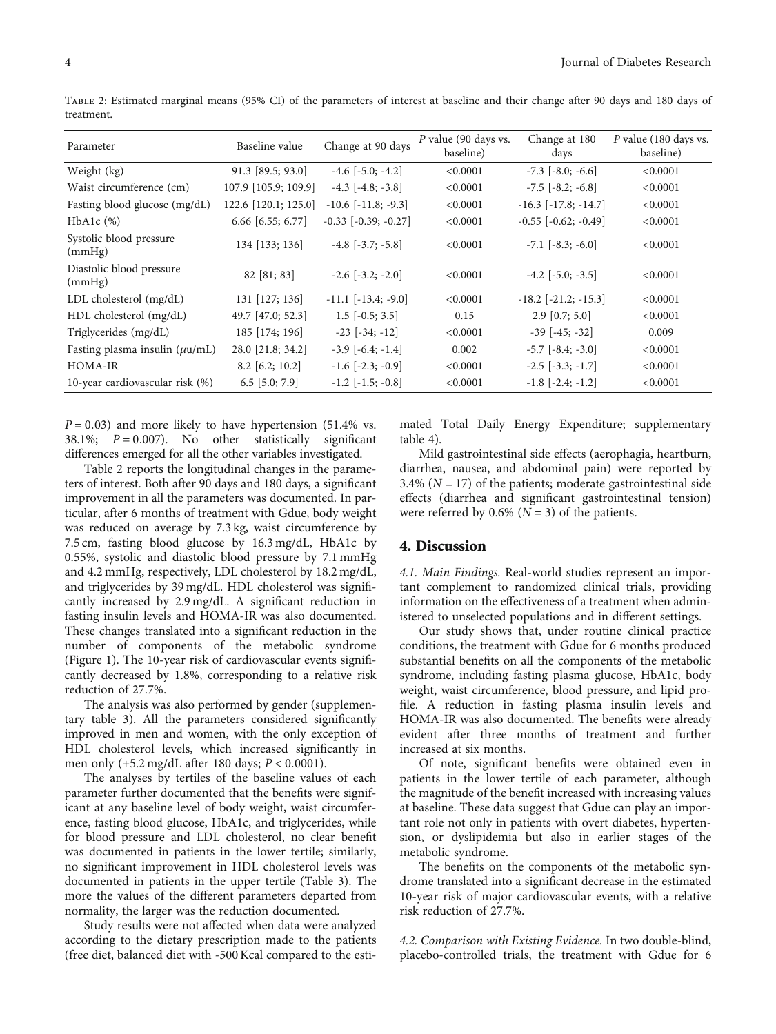| Parameter                           | Baseline value       | Change at 90 days          | P value (90 days vs.<br>baseline) | Change at 180<br>days    | P value (180 days vs.<br>baseline) |
|-------------------------------------|----------------------|----------------------------|-----------------------------------|--------------------------|------------------------------------|
| Weight (kg)                         | $91.3$ [89.5; 93.0]  | $-4.6$ $[-5.0; -4.2]$      | < 0.0001                          | $-7.3$ $[-8.0; -6.6]$    | < 0.0001                           |
| Waist circumference (cm)            | 107.9 [105.9; 109.9] | $-4.3$ $[-4.8; -3.8]$      | < 0.0001                          | $-7.5$ $[-8.2; -6.8]$    | < 0.0001                           |
| Fasting blood glucose (mg/dL)       | 122.6 [120.1; 125.0] | $-10.6$ $[-11.8; -9.3]$    | < 0.0001                          | $-16.3$ $[-17.8; -14.7]$ | < 0.0001                           |
| $HbA1c$ $(\%)$                      | $6.66$ [6.55; 6.77]  | $-0.33$ $[-0.39; -0.27]$   | < 0.0001                          | $-0.55$ $[-0.62; -0.49]$ | < 0.0001                           |
| Systolic blood pressure<br>(mmHg)   | 134 [133; 136]       | $-4.8$ [ $-3.7$ ; $-5.8$ ] | < 0.0001                          | $-7.1$ $[-8.3; -6.0]$    | < 0.0001                           |
| Diastolic blood pressure<br>(mmHg)  | 82 [81; 83]          | $-2.6$ $[-3.2; -2.0]$      | < 0.0001                          | $-4.2$ $[-5.0; -3.5]$    | < 0.0001                           |
| LDL cholesterol $(mg/dL)$           | 131 [127; 136]       | $-11.1$ $[-13.4; -9.0]$    | < 0.0001                          | $-18.2$ $[-21.2; -15.3]$ | < 0.0001                           |
| HDL cholesterol (mg/dL)             | 49.7 [47.0; 52.3]    | $1.5$ [ $-0.5$ ; 3.5]      | 0.15                              | $2.9$ [0.7; 5.0]         | < 0.0001                           |
| Triglycerides (mg/dL)               | 185 [174; 196]       | $-23$ $[-34; -12]$         | < 0.0001                          | $-39$ $[-45; -32]$       | 0.009                              |
| Fasting plasma insulin $(\mu u/mL)$ | 28.0 [21.8; 34.2]    | $-3.9$ $[-6.4; -1.4]$      | 0.002                             | $-5.7$ $[-8.4; -3.0]$    | < 0.0001                           |
| <b>HOMA-IR</b>                      | $8.2$ [6.2; 10.2]    | $-1.6$ $[-2.3; -0.9]$      | < 0.0001                          | $-2.5$ $[-3.3; -1.7]$    | < 0.0001                           |
| 10-year cardiovascular risk (%)     | $6.5$ [5.0; 7.9]     | $-1.2$ $[-1.5; -0.8]$      | < 0.0001                          | $-1.8$ $[-2.4; -1.2]$    | < 0.0001                           |

Table 2: Estimated marginal means (95% CI) of the parameters of interest at baseline and their change after 90 days and 180 days of treatment.

*P* = 0*:*03) and more likely to have hypertension (51.4% vs. 38.1%; *P* = 0*:*007). No other statistically significant differences emerged for all the other variables investigated.

Table 2 reports the longitudinal changes in the parameters of interest. Both after 90 days and 180 days, a significant improvement in all the parameters was documented. In particular, after 6 months of treatment with Gdue, body weight was reduced on average by 7.3 kg, waist circumference by 7.5 cm, fasting blood glucose by 16.3 mg/dL, HbA1c by 0.55%, systolic and diastolic blood pressure by 7.1 mmHg and 4.2 mmHg, respectively, LDL cholesterol by 18.2 mg/dL, and triglycerides by 39 mg/dL. HDL cholesterol was significantly increased by 2.9 mg/dL. A significant reduction in fasting insulin levels and HOMA-IR was also documented. These changes translated into a significant reduction in the number of components of the metabolic syndrome (Figure [1\)](#page-4-0). The 10-year risk of cardiovascular events significantly decreased by 1.8%, corresponding to a relative risk reduction of 27.7%.

The analysis was also performed by gender (supplementary table [3\)](#page-6-0). All the parameters considered significantly improved in men and women, with the only exception of HDL cholesterol levels, which increased significantly in men only (+5.2 mg/dL after 180 days; *P* < 0*:*0001).

The analyses by tertiles of the baseline values of each parameter further documented that the benefits were significant at any baseline level of body weight, waist circumference, fasting blood glucose, HbA1c, and triglycerides, while for blood pressure and LDL cholesterol, no clear benefit was documented in patients in the lower tertile; similarly, no significant improvement in HDL cholesterol levels was documented in patients in the upper tertile (Table [3](#page-5-0)). The more the values of the different parameters departed from normality, the larger was the reduction documented.

Study results were not affected when data were analyzed according to the dietary prescription made to the patients (free diet, balanced diet with -500 Kcal compared to the esti-

mated Total Daily Energy Expenditure; supplementary table [4\)](#page-6-0).

Mild gastrointestinal side effects (aerophagia, heartburn, diarrhea, nausea, and abdominal pain) were reported by 3.4% (*N* = 17) of the patients; moderate gastrointestinal side effects (diarrhea and significant gastrointestinal tension) were referred by  $0.6\%$  ( $N = 3$ ) of the patients.

#### 4. Discussion

4.1. Main Findings. Real-world studies represent an important complement to randomized clinical trials, providing information on the effectiveness of a treatment when administered to unselected populations and in different settings.

Our study shows that, under routine clinical practice conditions, the treatment with Gdue for 6 months produced substantial benefits on all the components of the metabolic syndrome, including fasting plasma glucose, HbA1c, body weight, waist circumference, blood pressure, and lipid profile. A reduction in fasting plasma insulin levels and HOMA-IR was also documented. The benefits were already evident after three months of treatment and further increased at six months.

Of note, significant benefits were obtained even in patients in the lower tertile of each parameter, although the magnitude of the benefit increased with increasing values at baseline. These data suggest that Gdue can play an important role not only in patients with overt diabetes, hypertension, or dyslipidemia but also in earlier stages of the metabolic syndrome.

The benefits on the components of the metabolic syndrome translated into a significant decrease in the estimated 10-year risk of major cardiovascular events, with a relative risk reduction of 27.7%.

4.2. Comparison with Existing Evidence. In two double-blind, placebo-controlled trials, the treatment with Gdue for 6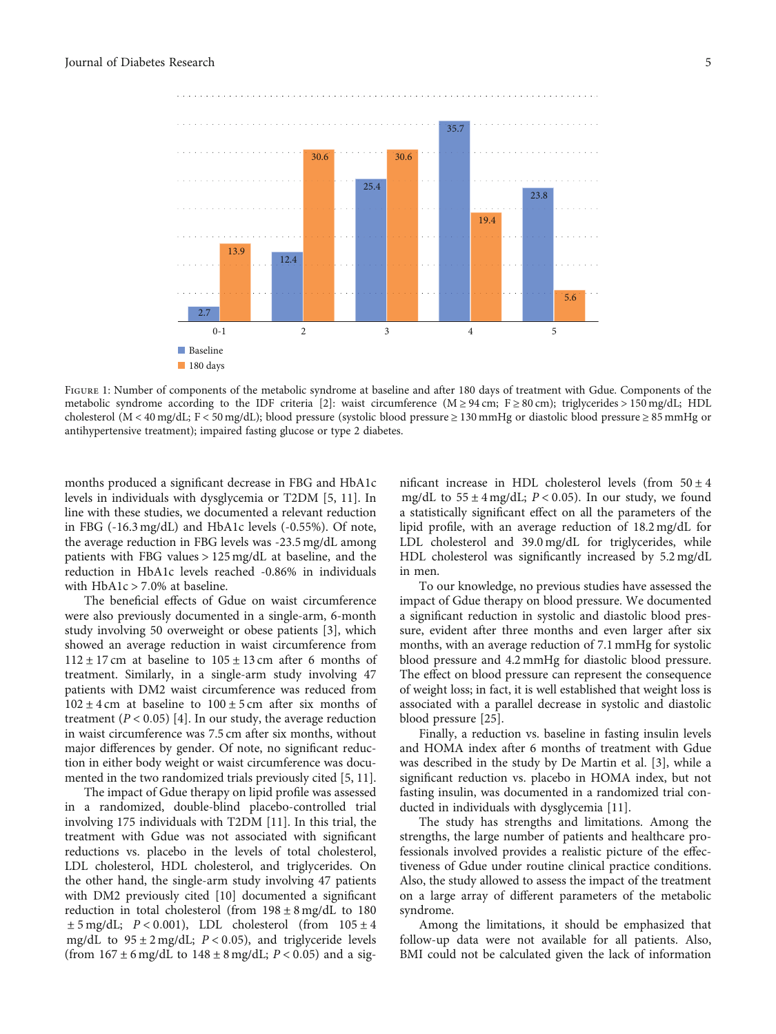<span id="page-4-0"></span>

FIGURE 1: Number of components of the metabolic syndrome at baseline and after 180 days of treatment with Gdue. Components of the metabolic syndrome according to the IDF criteria [[2](#page-6-0)]: waist circumference (M ≥ 94 cm; F ≥ 80 cm); triglycerides > 150 mg/dL; HDL cholesterol (M < 40 mg/dL; F < 50 mg/dL); blood pressure (systolic blood pressure ≥ 130 mmHg or diastolic blood pressure ≥ 85 mmHg or antihypertensive treatment); impaired fasting glucose or type 2 diabetes.

months produced a significant decrease in FBG and HbA1c levels in individuals with dysglycemia or T2DM [\[5, 11](#page-6-0)]. In line with these studies, we documented a relevant reduction in FBG (-16.3 mg/dL) and HbA1c levels (-0.55%). Of note, the average reduction in FBG levels was -23.5 mg/dL among patients with FBG values > 125 mg/dL at baseline, and the reduction in HbA1c levels reached -0.86% in individuals with HbA1c > 7*:*0*%* at baseline.

The beneficial effects of Gdue on waist circumference were also previously documented in a single-arm, 6-month study involving 50 overweight or obese patients [[3\]](#page-6-0), which showed an average reduction in waist circumference from  $112 \pm 17$  cm at baseline to  $105 \pm 13$  cm after 6 months of treatment. Similarly, in a single-arm study involving 47 patients with DM2 waist circumference was reduced from  $102 \pm 4$  cm at baseline to  $100 \pm 5$  cm after six months of treatment  $(P < 0.05)$  [\[4](#page-6-0)]. In our study, the average reduction in waist circumference was 7.5 cm after six months, without major differences by gender. Of note, no significant reduction in either body weight or waist circumference was documented in the two randomized trials previously cited [\[5](#page-6-0), [11](#page-6-0)].

The impact of Gdue therapy on lipid profile was assessed in a randomized, double-blind placebo-controlled trial involving 175 individuals with T2DM [\[11\]](#page-6-0). In this trial, the treatment with Gdue was not associated with significant reductions vs. placebo in the levels of total cholesterol, LDL cholesterol, HDL cholesterol, and triglycerides. On the other hand, the single-arm study involving 47 patients with DM2 previously cited [[10](#page-6-0)] documented a significant reduction in total cholesterol (from  $198 \pm 8$  mg/dL to 180  $\pm$  5 mg/dL;  $P < 0.001$ ), LDL cholesterol (from  $105 \pm 4$ mg/dL to  $95 \pm 2$  mg/dL;  $P < 0.05$ ), and triglyceride levels (from  $167 \pm 6$  mg/dL to  $148 \pm 8$  mg/dL;  $P < 0.05$ ) and a significant increase in HDL cholesterol levels (from  $50 \pm 4$ mg/dL to  $55 \pm 4$  mg/dL;  $P < 0.05$ ). In our study, we found a statistically significant effect on all the parameters of the lipid profile, with an average reduction of 18.2 mg/dL for LDL cholesterol and 39.0 mg/dL for triglycerides, while HDL cholesterol was significantly increased by 5.2 mg/dL in men.

To our knowledge, no previous studies have assessed the impact of Gdue therapy on blood pressure. We documented a significant reduction in systolic and diastolic blood pressure, evident after three months and even larger after six months, with an average reduction of 7.1 mmHg for systolic blood pressure and 4.2 mmHg for diastolic blood pressure. The effect on blood pressure can represent the consequence of weight loss; in fact, it is well established that weight loss is associated with a parallel decrease in systolic and diastolic blood pressure [[25](#page-7-0)].

Finally, a reduction vs. baseline in fasting insulin levels and HOMA index after 6 months of treatment with Gdue was described in the study by De Martin et al. [[3\]](#page-6-0), while a significant reduction vs. placebo in HOMA index, but not fasting insulin, was documented in a randomized trial conducted in individuals with dysglycemia [[11](#page-6-0)].

The study has strengths and limitations. Among the strengths, the large number of patients and healthcare professionals involved provides a realistic picture of the effectiveness of Gdue under routine clinical practice conditions. Also, the study allowed to assess the impact of the treatment on a large array of different parameters of the metabolic syndrome.

Among the limitations, it should be emphasized that follow-up data were not available for all patients. Also, BMI could not be calculated given the lack of information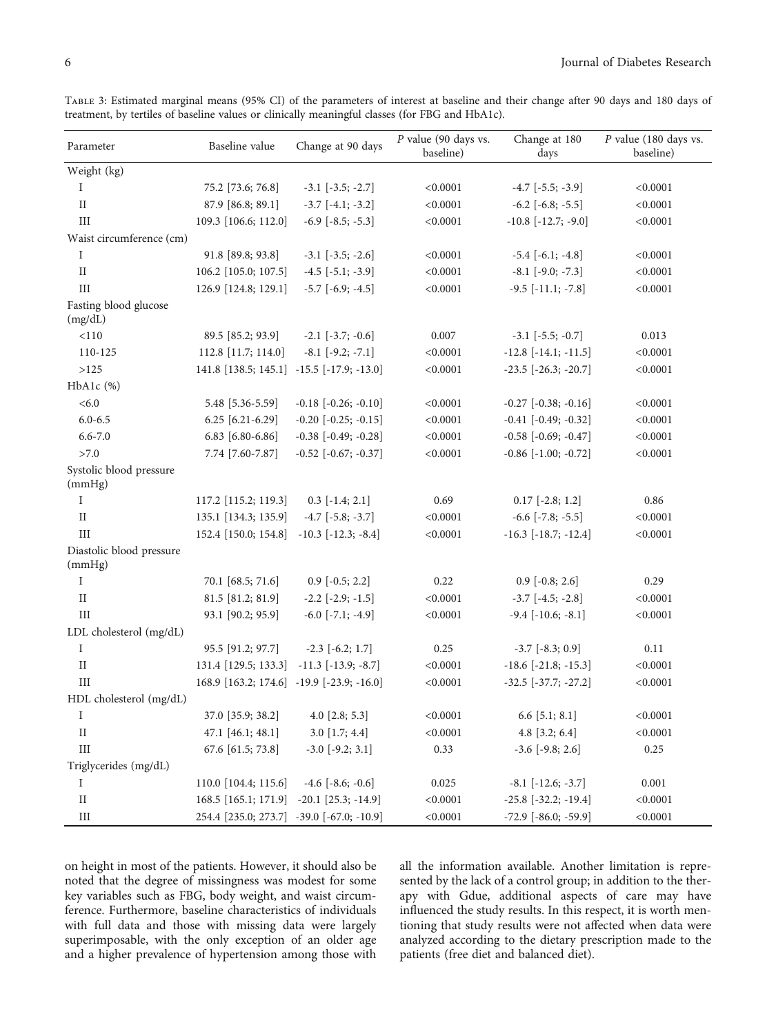| Parameter                          | Baseline value                            | Change at 90 days          | $P$ value (90 days vs.<br>baseline) | Change at 180<br>days         | $P$ value (180 days vs.<br>baseline) |
|------------------------------------|-------------------------------------------|----------------------------|-------------------------------------|-------------------------------|--------------------------------------|
| Weight (kg)                        |                                           |                            |                                     |                               |                                      |
| Ι                                  | 75.2 [73.6; 76.8]                         | $-3.1$ $[-3.5; -2.7]$      | < 0.0001                            | $-4.7$ $[-5.5; -3.9]$         | < 0.0001                             |
| $\rm II$                           | 87.9 [86.8; 89.1]                         | $-3.7$ [ $-4.1; -3.2$ ]    | < 0.0001                            | $-6.2$ $[-6.8; -5.5]$         | < 0.0001                             |
| III                                | 109.3 [106.6; 112.0]                      | $-6.9$ $[-8.5; -5.3]$      | < 0.0001                            | $-10.8$ $[-12.7; -9.0]$       | < 0.0001                             |
| Waist circumference (cm)           |                                           |                            |                                     |                               |                                      |
| I                                  | 91.8 [89.8; 93.8]                         | $-3.1$ $[-3.5; -2.6]$      | < 0.0001                            | $-5.4$ [ $-6.1; -4.8$ ]       | < 0.0001                             |
| $\rm II$                           | 106.2 [105.0; 107.5]                      | $-4.5$ [ $-5.1; -3.9$ ]    | < 0.0001                            | $-8.1$ [ $-9.0; -7.3$ ]       | < 0.0001                             |
| III                                | 126.9 [124.8; 129.1]                      | $-5.7$ $[-6.9; -4.5]$      | < 0.0001                            | $-9.5$ [ $-11.1$ ; $-7.8$ ]   | < 0.0001                             |
| Fasting blood glucose<br>(mg/dL)   |                                           |                            |                                     |                               |                                      |
| < 110                              | 89.5 [85.2; 93.9]                         | $-2.1$ $[-3.7; -0.6]$      | 0.007                               | $-3.1$ $[-5.5; -0.7]$         | 0.013                                |
| 110-125                            | 112.8 [11.7; 114.0]                       | $-8.1$ $[-9.2; -7.1]$      | < 0.0001                            | $-12.8$ $[-14.1; -11.5]$      | < 0.0001                             |
| >125                               | 141.8 [138.5; 145.1] -15.5 [-17.9; -13.0] |                            | < 0.0001                            | $-23.5$ $[-26.3; -20.7]$      | < 0.0001                             |
| $HbA1c$ $%$                        |                                           |                            |                                     |                               |                                      |
| <6.0                               | 5.48 [5.36-5.59]                          | $-0.18$ $[-0.26; -0.10]$   | < 0.0001                            | $-0.27$ $[-0.38; -0.16]$      | < 0.0001                             |
| $6.0 - 6.5$                        | $6.25$ [6.21-6.29]                        | $-0.20$ $[-0.25; -0.15]$   | < 0.0001                            | $-0.41$ $[-0.49; -0.32]$      | < 0.0001                             |
| $6.6 - 7.0$                        | 6.83 [6.80-6.86]                          | $-0.38$ $[-0.49; -0.28]$   | < 0.0001                            | $-0.58$ $[-0.69; -0.47]$      | < 0.0001                             |
| >7.0                               | 7.74 [7.60-7.87]                          | $-0.52$ $[-0.67; -0.37]$   | < 0.0001                            | $-0.86$ $[-1.00; -0.72]$      | < 0.0001                             |
| Systolic blood pressure<br>(mmHg)  |                                           |                            |                                     |                               |                                      |
| I                                  | 117.2 [115.2; 119.3]                      | $0.3$ [ $-1.4; 2.1$ ]      | 0.69                                | $0.17$ [-2.8; 1.2]            | 0.86                                 |
| $_{\rm II}$                        | 135.1 [134.3; 135.9]                      | $-4.7$ [ $-5.8; -3.7$ ]    | < 0.0001                            | $-6.6$ $[-7.8; -5.5]$         | < 0.0001                             |
| III                                | 152.4 [150.0; 154.8]                      | $-10.3$ $[-12.3; -8.4]$    | < 0.0001                            | $-16.3$ [ $-18.7$ ; $-12.4$ ] | < 0.0001                             |
| Diastolic blood pressure<br>(mmHg) |                                           |                            |                                     |                               |                                      |
| I                                  | 70.1 [68.5; 71.6]                         | $0.9$ [ $-0.5; 2.2$ ]      | 0.22                                | $0.9$ [ $-0.8; 2.6$ ]         | 0.29                                 |
| $_{\rm II}$                        | 81.5 [81.2; 81.9]                         | $-2.2$ $[-2.9; -1.5]$      | < 0.0001                            | $-3.7$ $[-4.5; -2.8]$         | < 0.0001                             |
| III                                | 93.1 [90.2; 95.9]                         | $-6.0$ [ $-7.1$ ; $-4.9$ ] | < 0.0001                            | $-9.4$ [ $-10.6$ ; $-8.1$ ]   | < 0.0001                             |
| LDL cholesterol (mg/dL)            |                                           |                            |                                     |                               |                                      |
| $\bf{I}$                           | 95.5 [91.2; 97.7]                         | $-2.3$ [ $-6.2; 1.7$ ]     | 0.25                                | $-3.7$ [ $-8.3; 0.9$ ]        | 0.11                                 |
| $_{\rm II}$                        | 131.4 [129.5; 133.3]                      | $-11.3$ [ $-13.9; -8.7$ ]  | < 0.0001                            | $-18.6$ $[-21.8; -15.3]$      | < 0.0001                             |
| III                                | 168.9 [163.2; 174.6] -19.9 [-23.9; -16.0] |                            | < 0.0001                            | $-32.5$ $[-37.7; -27.2]$      | < 0.0001                             |
| HDL cholesterol (mg/dL)            |                                           |                            |                                     |                               |                                      |
| I                                  | 37.0 [35.9; 38.2]                         | $4.0$ [2.8; 5.3]           | < 0.0001                            | $6.6$ [5.1; 8.1]              | < 0.0001                             |
| $\rm II$                           | 47.1 [46.1; 48.1]                         | 3.0 [1.7; 4.4]             | < 0.0001                            | $4.8$ [3.2; 6.4]              | < 0.0001                             |
| $III$                              | 67.6 [61.5; 73.8]                         | $-3.0$ [ $-9.2; 3.1$ ]     | 0.33                                | $-3.6$ [ $-9.8; 2.6$ ]        | 0.25                                 |
| Triglycerides (mg/dL)              |                                           |                            |                                     |                               |                                      |
| Ι                                  | 110.0 [104.4; 115.6]                      | $-4.6$ [ $-8.6$ ; $-0.6$ ] | 0.025                               | $-8.1$ [ $-12.6$ ; $-3.7$ ]   | $0.001\,$                            |
| $\rm II$                           | 168.5 [165.1; 171.9]                      | $-20.1$ [25.3; $-14.9$ ]   | < 0.0001                            | $-25.8$ [ $-32.2$ ; $-19.4$ ] | < 0.0001                             |
| III                                | 254.4 [235.0; 273.7] -39.0 [-67.0; -10.9] |                            | < 0.0001                            | $-72.9$ [ $-86.0; -59.9$ ]    | < 0.0001                             |

<span id="page-5-0"></span>Table 3: Estimated marginal means (95% CI) of the parameters of interest at baseline and their change after 90 days and 180 days of treatment, by tertiles of baseline values or clinically meaningful classes (for FBG and HbA1c).

on height in most of the patients. However, it should also be noted that the degree of missingness was modest for some key variables such as FBG, body weight, and waist circumference. Furthermore, baseline characteristics of individuals with full data and those with missing data were largely superimposable, with the only exception of an older age and a higher prevalence of hypertension among those with

all the information available. Another limitation is represented by the lack of a control group; in addition to the therapy with Gdue, additional aspects of care may have influenced the study results. In this respect, it is worth mentioning that study results were not affected when data were analyzed according to the dietary prescription made to the patients (free diet and balanced diet).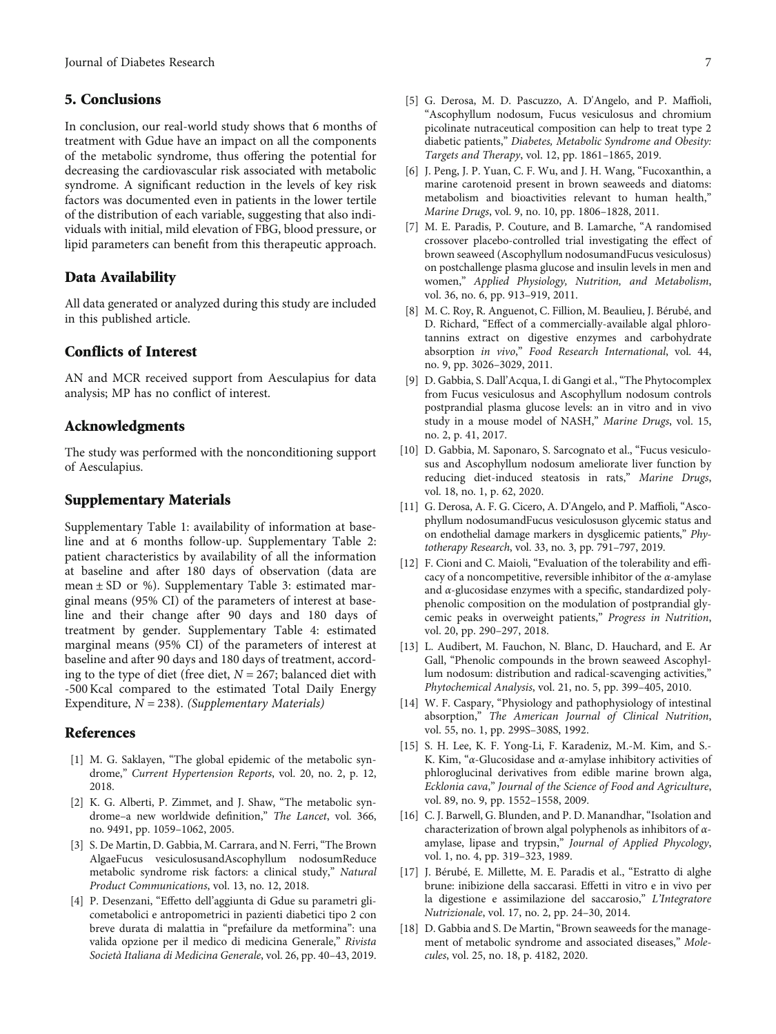#### <span id="page-6-0"></span>5. Conclusions

In conclusion, our real-world study shows that 6 months of treatment with Gdue have an impact on all the components of the metabolic syndrome, thus offering the potential for decreasing the cardiovascular risk associated with metabolic syndrome. A significant reduction in the levels of key risk factors was documented even in patients in the lower tertile of the distribution of each variable, suggesting that also individuals with initial, mild elevation of FBG, blood pressure, or lipid parameters can benefit from this therapeutic approach.

#### Data Availability

All data generated or analyzed during this study are included in this published article.

#### Conflicts of Interest

AN and MCR received support from Aesculapius for data analysis; MP has no conflict of interest.

#### Acknowledgments

The study was performed with the nonconditioning support of Aesculapius.

#### Supplementary Materials

Supplementary Table 1: availability of information at baseline and at 6 months follow-up. Supplementary Table 2: patient characteristics by availability of all the information at baseline and after 180 days of observation (data are mean  $\pm$  SD or %). Supplementary Table 3: estimated marginal means (95% CI) of the parameters of interest at baseline and their change after 90 days and 180 days of treatment by gender. Supplementary Table 4: estimated marginal means (95% CI) of the parameters of interest at baseline and after 90 days and 180 days of treatment, according to the type of diet (free diet, *N* = 267; balanced diet with -500 Kcal compared to the estimated Total Daily Energy Expenditure,  $N = 238$ ). [\(Supplementary Materials\)](https://downloads.hindawi.com/journals/jdr/2021/3389316.f1.docx)

#### References

- [1] M. G. Saklayen, "The global epidemic of the metabolic syndrome," Current Hypertension Reports, vol. 20, no. 2, p. 12, 2018.
- [2] K. G. Alberti, P. Zimmet, and J. Shaw, "The metabolic syndrome–a new worldwide definition," The Lancet, vol. 366, no. 9491, pp. 1059–1062, 2005.
- [3] S. De Martin, D. Gabbia, M. Carrara, and N. Ferri, "The Brown AlgaeFucus vesiculosusandAscophyllum nodosumReduce metabolic syndrome risk factors: a clinical study," Natural Product Communications, vol. 13, no. 12, 2018.
- [4] P. Desenzani, "Effetto dell'aggiunta di Gdue su parametri glicometabolici e antropometrici in pazienti diabetici tipo 2 con breve durata di malattia in "prefailure da metformina": una valida opzione per il medico di medicina Generale," Rivista Società Italiana di Medicina Generale, vol. 26, pp. 40–43, 2019.
- [5] G. Derosa, M. D. Pascuzzo, A. D'Angelo, and P. Maffioli, "Ascophyllum nodosum, Fucus vesiculosus and chromium picolinate nutraceutical composition can help to treat type 2 diabetic patients," Diabetes, Metabolic Syndrome and Obesity: Targets and Therapy, vol. 12, pp. 1861–1865, 2019.
- [6] J. Peng, J. P. Yuan, C. F. Wu, and J. H. Wang, "Fucoxanthin, a marine carotenoid present in brown seaweeds and diatoms: metabolism and bioactivities relevant to human health," Marine Drugs, vol. 9, no. 10, pp. 1806–1828, 2011.
- [7] M. E. Paradis, P. Couture, and B. Lamarche, "A randomised crossover placebo-controlled trial investigating the effect of brown seaweed (Ascophyllum nodosumandFucus vesiculosus) on postchallenge plasma glucose and insulin levels in men and women," Applied Physiology, Nutrition, and Metabolism, vol. 36, no. 6, pp. 913–919, 2011.
- [8] M. C. Roy, R. Anguenot, C. Fillion, M. Beaulieu, J. Bérubé, and D. Richard, "Effect of a commercially-available algal phlorotannins extract on digestive enzymes and carbohydrate absorption in vivo," Food Research International, vol. 44, no. 9, pp. 3026–3029, 2011.
- [9] D. Gabbia, S. Dall'Acqua, I. di Gangi et al., "The Phytocomplex from Fucus vesiculosus and Ascophyllum nodosum controls postprandial plasma glucose levels: an in vitro and in vivo study in a mouse model of NASH," Marine Drugs, vol. 15, no. 2, p. 41, 2017.
- [10] D. Gabbia, M. Saponaro, S. Sarcognato et al., "Fucus vesiculosus and Ascophyllum nodosum ameliorate liver function by reducing diet-induced steatosis in rats," Marine Drugs, vol. 18, no. 1, p. 62, 2020.
- [11] G. Derosa, A. F. G. Cicero, A. D'Angelo, and P. Maffioli, "Ascophyllum nodosumandFucus vesiculosuson glycemic status and on endothelial damage markers in dysglicemic patients," Phytotherapy Research, vol. 33, no. 3, pp. 791–797, 2019.
- [12] F. Cioni and C. Maioli, "Evaluation of the tolerability and efficacy of a noncompetitive, reversible inhibitor of the *α*-amylase and *α*-glucosidase enzymes with a specific, standardized polyphenolic composition on the modulation of postprandial glycemic peaks in overweight patients," Progress in Nutrition, vol. 20, pp. 290–297, 2018.
- [13] L. Audibert, M. Fauchon, N. Blanc, D. Hauchard, and E. Ar Gall, "Phenolic compounds in the brown seaweed Ascophyllum nodosum: distribution and radical-scavenging activities," Phytochemical Analysis, vol. 21, no. 5, pp. 399–405, 2010.
- [14] W. F. Caspary, "Physiology and pathophysiology of intestinal absorption," The American Journal of Clinical Nutrition, vol. 55, no. 1, pp. 299S–308S, 1992.
- [15] S. H. Lee, K. F. Yong-Li, F. Karadeniz, M.-M. Kim, and S.- K. Kim, "*α*-Glucosidase and *α*-amylase inhibitory activities of phloroglucinal derivatives from edible marine brown alga, Ecklonia cava," Journal of the Science of Food and Agriculture, vol. 89, no. 9, pp. 1552–1558, 2009.
- [16] C. J. Barwell, G. Blunden, and P. D. Manandhar, "Isolation and characterization of brown algal polyphenols as inhibitors of *α*amylase, lipase and trypsin," Journal of Applied Phycology, vol. 1, no. 4, pp. 319–323, 1989.
- [17] J. Bérubé, E. Millette, M. E. Paradis et al., "Estratto di alghe brune: inibizione della saccarasi. Effetti in vitro e in vivo per la digestione e assimilazione del saccarosio," L'Integratore Nutrizionale, vol. 17, no. 2, pp. 24–30, 2014.
- [18] D. Gabbia and S. De Martin, "Brown seaweeds for the management of metabolic syndrome and associated diseases," Molecules, vol. 25, no. 18, p. 4182, 2020.